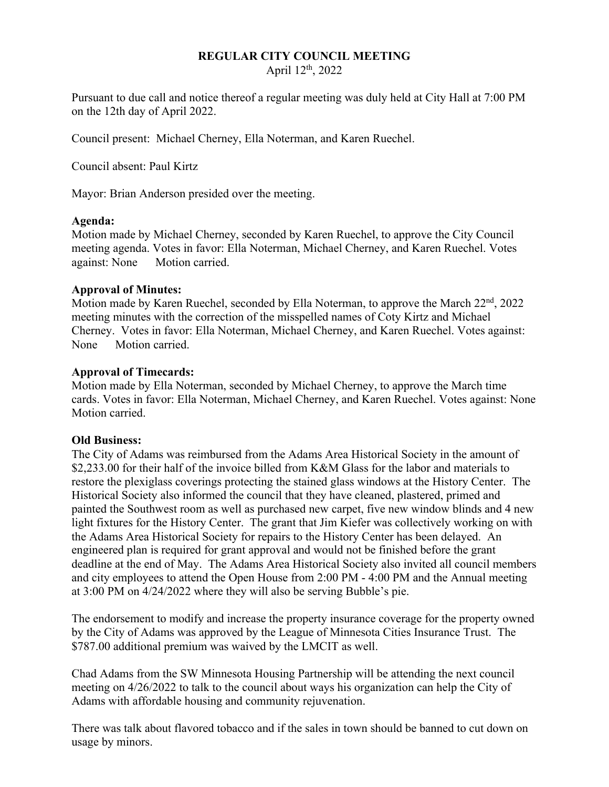### **REGULAR CITY COUNCIL MEETING**

April 12th, 2022

Pursuant to due call and notice thereof a regular meeting was duly held at City Hall at 7:00 PM on the 12th day of April 2022.

Council present: Michael Cherney, Ella Noterman, and Karen Ruechel.

Council absent: Paul Kirtz

Mayor: Brian Anderson presided over the meeting.

#### **Agenda:**

Motion made by Michael Cherney, seconded by Karen Ruechel, to approve the City Council meeting agenda. Votes in favor: Ella Noterman, Michael Cherney, and Karen Ruechel. Votes against: None Motion carried.

### **Approval of Minutes:**

Motion made by Karen Ruechel, seconded by Ella Noterman, to approve the March 22<sup>nd</sup>, 2022 meeting minutes with the correction of the misspelled names of Coty Kirtz and Michael Cherney. Votes in favor: Ella Noterman, Michael Cherney, and Karen Ruechel. Votes against: None Motion carried.

### **Approval of Timecards:**

Motion made by Ella Noterman, seconded by Michael Cherney, to approve the March time cards. Votes in favor: Ella Noterman, Michael Cherney, and Karen Ruechel. Votes against: None Motion carried.

### **Old Business:**

The City of Adams was reimbursed from the Adams Area Historical Society in the amount of \$2,233.00 for their half of the invoice billed from K&M Glass for the labor and materials to restore the plexiglass coverings protecting the stained glass windows at the History Center. The Historical Society also informed the council that they have cleaned, plastered, primed and painted the Southwest room as well as purchased new carpet, five new window blinds and 4 new light fixtures for the History Center. The grant that Jim Kiefer was collectively working on with the Adams Area Historical Society for repairs to the History Center has been delayed. An engineered plan is required for grant approval and would not be finished before the grant deadline at the end of May. The Adams Area Historical Society also invited all council members and city employees to attend the Open House from 2:00 PM - 4:00 PM and the Annual meeting at 3:00 PM on 4/24/2022 where they will also be serving Bubble's pie.

The endorsement to modify and increase the property insurance coverage for the property owned by the City of Adams was approved by the League of Minnesota Cities Insurance Trust. The \$787.00 additional premium was waived by the LMCIT as well.

Chad Adams from the SW Minnesota Housing Partnership will be attending the next council meeting on 4/26/2022 to talk to the council about ways his organization can help the City of Adams with affordable housing and community rejuvenation.

There was talk about flavored tobacco and if the sales in town should be banned to cut down on usage by minors.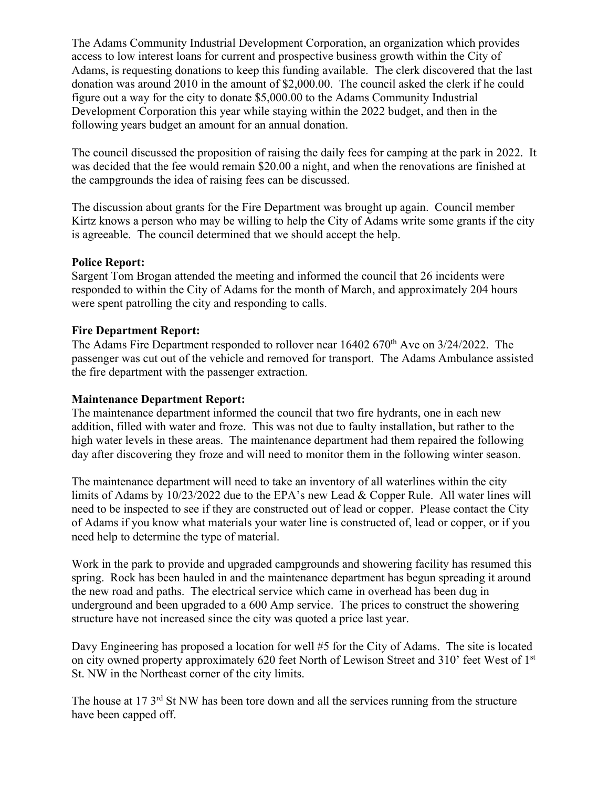The Adams Community Industrial Development Corporation, an organization which provides access to low interest loans for current and prospective business growth within the City of Adams, is requesting donations to keep this funding available. The clerk discovered that the last donation was around 2010 in the amount of \$2,000.00. The council asked the clerk if he could figure out a way for the city to donate \$5,000.00 to the Adams Community Industrial Development Corporation this year while staying within the 2022 budget, and then in the following years budget an amount for an annual donation.

The council discussed the proposition of raising the daily fees for camping at the park in 2022. It was decided that the fee would remain \$20.00 a night, and when the renovations are finished at the campgrounds the idea of raising fees can be discussed.

The discussion about grants for the Fire Department was brought up again. Council member Kirtz knows a person who may be willing to help the City of Adams write some grants if the city is agreeable. The council determined that we should accept the help.

### **Police Report:**

Sargent Tom Brogan attended the meeting and informed the council that 26 incidents were responded to within the City of Adams for the month of March, and approximately 204 hours were spent patrolling the city and responding to calls.

### **Fire Department Report:**

The Adams Fire Department responded to rollover near 16402 670<sup>th</sup> Ave on 3/24/2022. The passenger was cut out of the vehicle and removed for transport. The Adams Ambulance assisted the fire department with the passenger extraction.

## **Maintenance Department Report:**

The maintenance department informed the council that two fire hydrants, one in each new addition, filled with water and froze. This was not due to faulty installation, but rather to the high water levels in these areas. The maintenance department had them repaired the following day after discovering they froze and will need to monitor them in the following winter season.

The maintenance department will need to take an inventory of all waterlines within the city limits of Adams by 10/23/2022 due to the EPA's new Lead & Copper Rule. All water lines will need to be inspected to see if they are constructed out of lead or copper. Please contact the City of Adams if you know what materials your water line is constructed of, lead or copper, or if you need help to determine the type of material.

Work in the park to provide and upgraded campgrounds and showering facility has resumed this spring. Rock has been hauled in and the maintenance department has begun spreading it around the new road and paths. The electrical service which came in overhead has been dug in underground and been upgraded to a 600 Amp service. The prices to construct the showering structure have not increased since the city was quoted a price last year.

Davy Engineering has proposed a location for well #5 for the City of Adams. The site is located on city owned property approximately 620 feet North of Lewison Street and 310' feet West of 1<sup>st</sup> St. NW in the Northeast corner of the city limits.

The house at 17 3<sup>rd</sup> St NW has been tore down and all the services running from the structure have been capped off.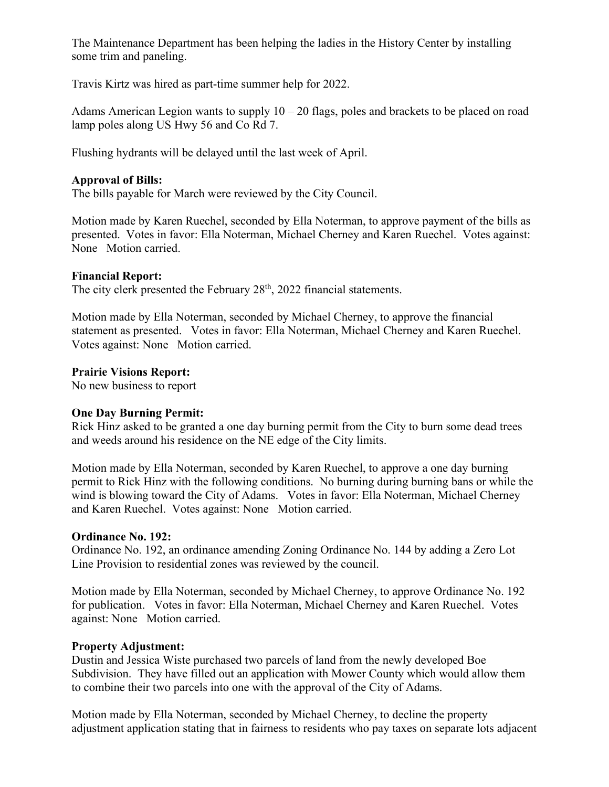The Maintenance Department has been helping the ladies in the History Center by installing some trim and paneling.

Travis Kirtz was hired as part-time summer help for 2022.

Adams American Legion wants to supply  $10 - 20$  flags, poles and brackets to be placed on road lamp poles along US Hwy 56 and Co Rd 7.

Flushing hydrants will be delayed until the last week of April.

### **Approval of Bills:**

The bills payable for March were reviewed by the City Council.

Motion made by Karen Ruechel, seconded by Ella Noterman, to approve payment of the bills as presented. Votes in favor: Ella Noterman, Michael Cherney and Karen Ruechel. Votes against: None Motion carried.

### **Financial Report:**

The city clerk presented the February 28<sup>th</sup>, 2022 financial statements.

Motion made by Ella Noterman, seconded by Michael Cherney, to approve the financial statement as presented. Votes in favor: Ella Noterman, Michael Cherney and Karen Ruechel. Votes against: None Motion carried.

### **Prairie Visions Report:**

No new business to report

# **One Day Burning Permit:**

Rick Hinz asked to be granted a one day burning permit from the City to burn some dead trees and weeds around his residence on the NE edge of the City limits.

Motion made by Ella Noterman, seconded by Karen Ruechel, to approve a one day burning permit to Rick Hinz with the following conditions. No burning during burning bans or while the wind is blowing toward the City of Adams. Votes in favor: Ella Noterman, Michael Cherney and Karen Ruechel. Votes against: None Motion carried.

### **Ordinance No. 192:**

Ordinance No. 192, an ordinance amending Zoning Ordinance No. 144 by adding a Zero Lot Line Provision to residential zones was reviewed by the council.

Motion made by Ella Noterman, seconded by Michael Cherney, to approve Ordinance No. 192 for publication. Votes in favor: Ella Noterman, Michael Cherney and Karen Ruechel. Votes against: None Motion carried.

### **Property Adjustment:**

Dustin and Jessica Wiste purchased two parcels of land from the newly developed Boe Subdivision. They have filled out an application with Mower County which would allow them to combine their two parcels into one with the approval of the City of Adams.

Motion made by Ella Noterman, seconded by Michael Cherney, to decline the property adjustment application stating that in fairness to residents who pay taxes on separate lots adjacent